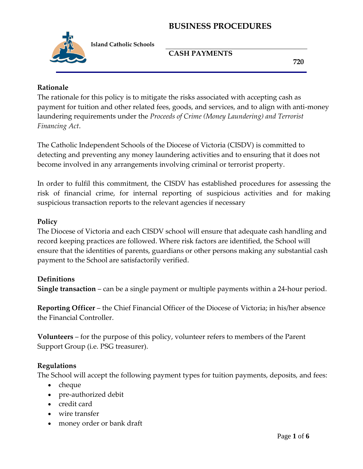

 **Island Catholic Schools**

## **CASH PAYMENTS**

 **720**

#### **Rationale**

The rationale for this policy is to mitigate the risks associated with accepting cash as payment for tuition and other related fees, goods, and services, and to align with anti-money laundering requirements under the *Proceeds of Crime (Money Laundering) and Terrorist Financing Act*.

The Catholic Independent Schools of the Diocese of Victoria (CISDV) is committed to detecting and preventing any money laundering activities and to ensuring that it does not become involved in any arrangements involving criminal or terrorist property.

In order to fulfil this commitment, the CISDV has established procedures for assessing the risk of financial crime, for internal reporting of suspicious activities and for making suspicious transaction reports to the relevant agencies if necessary

#### **Policy**

The Diocese of Victoria and each CISDV school will ensure that adequate cash handling and record keeping practices are followed. Where risk factors are identified, the School will ensure that the identities of parents, guardians or other persons making any substantial cash payment to the School are satisfactorily verified.

#### **Definitions**

**Single transaction** – can be a single payment or multiple payments within a 24-hour period.

**Reporting Officer** – the Chief Financial Officer of the Diocese of Victoria; in his/her absence the Financial Controller.

**Volunteers** – for the purpose of this policy, volunteer refers to members of the Parent Support Group (i.e. PSG treasurer).

#### **Regulations**

The School will accept the following payment types for tuition payments, deposits, and fees:

- $\bullet$  cheque
- pre-authorized debit
- credit card
- wire transfer
- money order or bank draft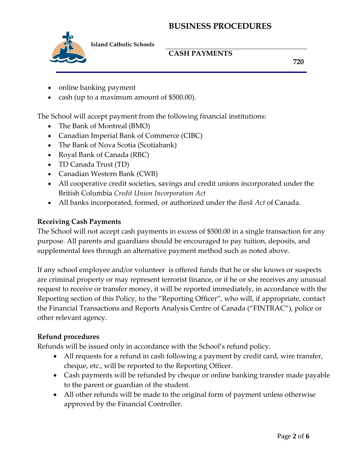

 **Island Catholic Schools**

## **CASH PAYMENTS**

 **720**

- online banking payment
- cash (up to a maximum amount of \$500.00).

The School will accept payment from the following financial institutions:

- The Bank of Montreal (BMO)
- Canadian Imperial Bank of Commerce (CIBC)
- The Bank of Nova Scotia (Scotiabank)
- Royal Bank of Canada (RBC)
- TD Canada Trust (TD)
- Canadian Western Bank (CWB)
- All cooperative credit societies, savings and credit unions incorporated under the British Columbia *Credit Union Incorporation Act*
- All banks incorporated, formed, or authorized under the *Bank Act* of Canada.

## **Receiving Cash Payments**

The School will not accept cash payments in excess of \$500.00 in a single transaction for any purpose. All parents and guardians should be encouraged to pay tuition, deposits, and supplemental fees through an alternative payment method such as noted above.

If any school employee and/or volunteer is offered funds that he or she knows or suspects are criminal property or may represent terrorist finance, or if he or she receives any unusual request to receive or transfer money, it will be reported immediately, in accordance with the Reporting section of this Policy, to the "Reporting Officer", who will, if appropriate, contact the Financial Transactions and Reports Analysis Centre of Canada ("FINTRAC"), police or other relevant agency.

## **Refund procedures**

Refunds will be issued only in accordance with the School's refund policy.

- All requests for a refund in cash following a payment by credit card, wire transfer, cheque, etc., will be reported to the Reporting Officer.
- Cash payments will be refunded by cheque or online banking transfer made payable to the parent or guardian of the student.
- All other refunds will be made to the original form of payment unless otherwise approved by the Financial Controller.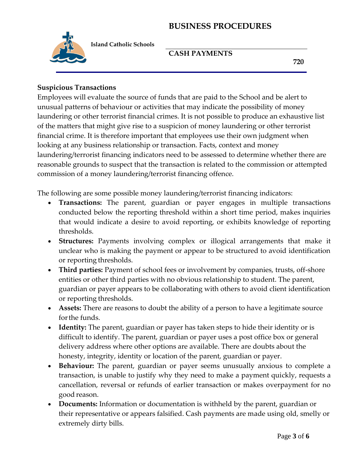

 **Island Catholic Schools**

#### **CASH PAYMENTS**

 **720**

#### **Suspicious Transactions**

Employees will evaluate the source of funds that are paid to the School and be alert to unusual patterns of behaviour or activities that may indicate the possibility of money laundering or other terrorist financial crimes. It is not possible to produce an exhaustive list of the matters that might give rise to a suspicion of money laundering or other terrorist financial crime. It is therefore important that employees use their own judgment when looking at any business relationship or transaction. Facts, context and money laundering/terrorist financing indicators need to be assessed to determine whether there are reasonable grounds to suspect that the transaction is related to the commission or attempted commission of a money laundering/terrorist financing offence.

The following are some possible money laundering/terrorist financing indicators:

- **Transactions:** The parent, guardian or payer engages in multiple transactions conducted below the reporting threshold within a short time period, makes inquiries that would indicate a desire to avoid reporting, or exhibits knowledge of reporting thresholds.
- **Structures:** Payments involving complex or illogical arrangements that make it unclear who is making the payment or appear to be structured to avoid identification or reporting thresholds.
- Third parties: Payment of school fees or involvement by companies, trusts, off-shore entities or other third parties with no obvious relationship to student. The parent, guardian or payer appears to be collaborating with others to avoid client identification or reporting thresholds.
- **Assets:** There are reasons to doubt the ability of a person to have a legitimate source forthe funds.
- **Identity:** The parent, guardian or payer has taken steps to hide their identity or is difficult to identify. The parent, guardian or payer uses a post office box or general delivery address where other options are available. There are doubts about the honesty, integrity, identity or location of the parent, guardian or payer.
- **Behaviour:** The parent, guardian or payer seems unusually anxious to complete a transaction, is unable to justify why they need to make a payment quickly, requests a cancellation, reversal or refunds of earlier transaction or makes overpayment for no good reason.
- **Documents:** Information or documentation is withheld by the parent, guardian or their representative or appears falsified. Cash payments are made using old, smelly or extremely dirty bills.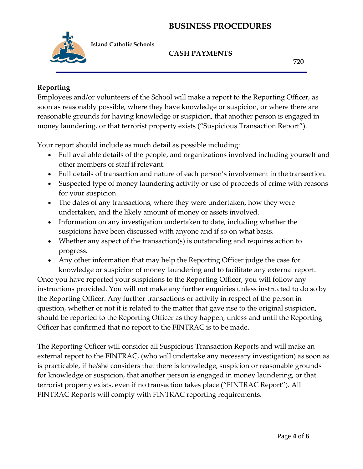

 **Island Catholic Schools**

## **CASH PAYMENTS**

 **720**

#### **Reporting**

Employees and/or volunteers of the School will make a report to the Reporting Officer, as soon as reasonably possible, where they have knowledge or suspicion, or where there are reasonable grounds for having knowledge or suspicion, that another person is engaged in money laundering, or that terrorist property exists ("Suspicious Transaction Report").

Your report should include as much detail as possible including:

- Full available details of the people, and organizations involved including yourself and other members of staff if relevant.
- Full details of transaction and nature of each person's involvement in the transaction.
- Suspected type of money laundering activity or use of proceeds of crime with reasons for your suspicion.
- The dates of any transactions, where they were undertaken, how they were undertaken, and the likely amount of money or assets involved.
- Information on any investigation undertaken to date, including whether the suspicions have been discussed with anyone and if so on what basis.
- Whether any aspect of the transaction(s) is outstanding and requires action to progress.
- Any other information that may help the Reporting Officer judge the case for knowledge or suspicion of money laundering and to facilitate any external report.

Once you have reported your suspicions to the Reporting Officer, you will follow any instructions provided. You will not make any further enquiries unless instructed to do so by the Reporting Officer. Any further transactions or activity in respect of the person in question, whether or not it is related to the matter that gave rise to the original suspicion, should be reported to the Reporting Officer as they happen, unless and until the Reporting Officer has confirmed that no report to the FINTRAC is to be made.

The Reporting Officer will consider all Suspicious Transaction Reports and will make an external report to the FINTRAC, (who will undertake any necessary investigation) as soon as is practicable, if he/she considers that there is knowledge, suspicion or reasonable grounds for knowledge or suspicion, that another person is engaged in money laundering, or that terrorist property exists, even if no transaction takes place ("FINTRAC Report"). All FINTRAC Reports will comply with FINTRAC reporting requirements.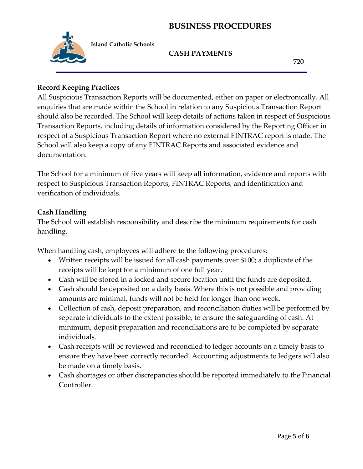

 **Island Catholic Schools**

#### **CASH PAYMENTS**

 **720**

#### **Record Keeping Practices**

All Suspicious Transaction Reports will be documented, either on paper or electronically. All enquiries that are made within the School in relation to any Suspicious Transaction Report should also be recorded. The School will keep details of actions taken in respect of Suspicious Transaction Reports, including details of information considered by the Reporting Officer in respect of a Suspicious Transaction Report where no external FINTRAC report is made. The School will also keep a copy of any FINTRAC Reports and associated evidence and documentation.

The School for a minimum of five years will keep all information, evidence and reports with respect to Suspicious Transaction Reports, FINTRAC Reports, and identification and verification of individuals.

#### **Cash Handling**

The School will establish responsibility and describe the minimum requirements for cash handling.

When handling cash, employees will adhere to the following procedures:

- Written receipts will be issued for all cash payments over \$100; a duplicate of the receipts will be kept for a minimum of one full year.
- Cash will be stored in a locked and secure location until the funds are deposited.
- Cash should be deposited on a daily basis. Where this is not possible and providing amounts are minimal, funds will not be held for longer than one week.
- Collection of cash, deposit preparation, and reconciliation duties will be performed by separate individuals to the extent possible, to ensure the safeguarding of cash. At minimum, deposit preparation and reconciliations are to be completed by separate individuals.
- Cash receipts will be reviewed and reconciled to ledger accounts on a timely basis to ensure they have been correctly recorded. Accounting adjustments to ledgers will also be made on a timely basis.
- Cash shortages or other discrepancies should be reported immediately to the Financial Controller.